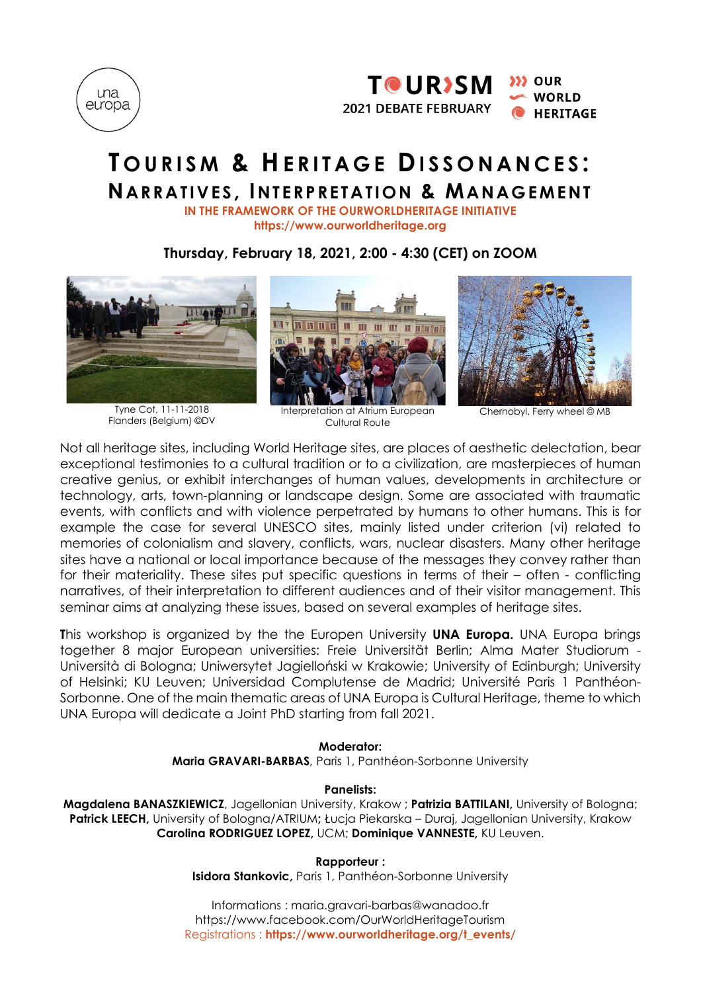



# **T O U R I S M & HE R I T A G E DI S S O N A N C E S : NARRA TIV ES , INT ERP RETA TION & MANAG EM ENT**

**IN THE FRAMEWORK OF THE OURWORLDHERITAGE INITIATIVE https://www.ourworldheritage.org**

**Thursday, February 18, 2021, 2:00 - 4:30 (CET) on ZOOM**



Tyne Cot, 11-11-2018 Flanders (Belgium) ©DV

Interpretation at Atrium European Cultural Route



Chernobyl, Ferry wheel © MB

Not all heritage sites, including World Heritage sites, are places of aesthetic delectation, bear exceptional testimonies to a cultural tradition or to a civilization, are masterpieces of human creative genius, or exhibit interchanges of human values, developments in architecture or technology, arts, town-planning or landscape design. Some are associated with traumatic events, with conflicts and with violence perpetrated by humans to other humans. This is for example the case for several UNESCO sites, mainly listed under criterion (vi) related to memories of colonialism and slavery, conflicts, wars, nuclear disasters. Many other heritage sites have a national or local importance because of the messages they convey rather than for their materiality. These sites put specific questions in terms of their – often - conflicting narratives, of their interpretation to different audiences and of their visitor management. This seminar aims at analyzing these issues, based on several examples of heritage sites.

**T**his workshop is organized by the the Europen University **UNA Europa.** UNA Europa brings together 8 major European universities: Freie Universität Berlin; Alma Mater Studiorum - Università di Bologna; Uniwersytet Jagielloński w Krakowie; University of Edinburgh; University of Helsinki; KU Leuven; Universidad Complutense de Madrid; Université Paris 1 Panthéon-Sorbonne. One of the main thematic areas of UNA Europa is Cultural Heritage, theme to which UNA Europa will dedicate a Joint PhD starting from fall 2021.

### **Moderator:**

**Maria GRAVARI-BARBAS**, Paris 1, Panthéon-Sorbonne University

### **Panelists:**

**Magdalena BANASZKIEWICZ**, Jagellonian University, Krakow ; **Patrizia BATTILANI,** University of Bologna; **Patrick LEECH,** University of Bologna/ATRIUM**;** Łucja Piekarska – Duraj, Jagellonian University, Krakow **Carolina RODRIGUEZ LOPEZ,** UCM; **Dominique VANNESTE,** KU Leuven.

**Rapporteur :**

**Isidora Stankovic,** Paris 1, Panthéon-Sorbonne University

Informations : [maria.gravari-barbas@wanadoo.fr](mailto:maria.gravari-barbas@wanadoo.fr) <https://www.facebook.com/OurWorldHeritageTourism> Registrations : **https://www.ourworldheritage.org/t\_events/**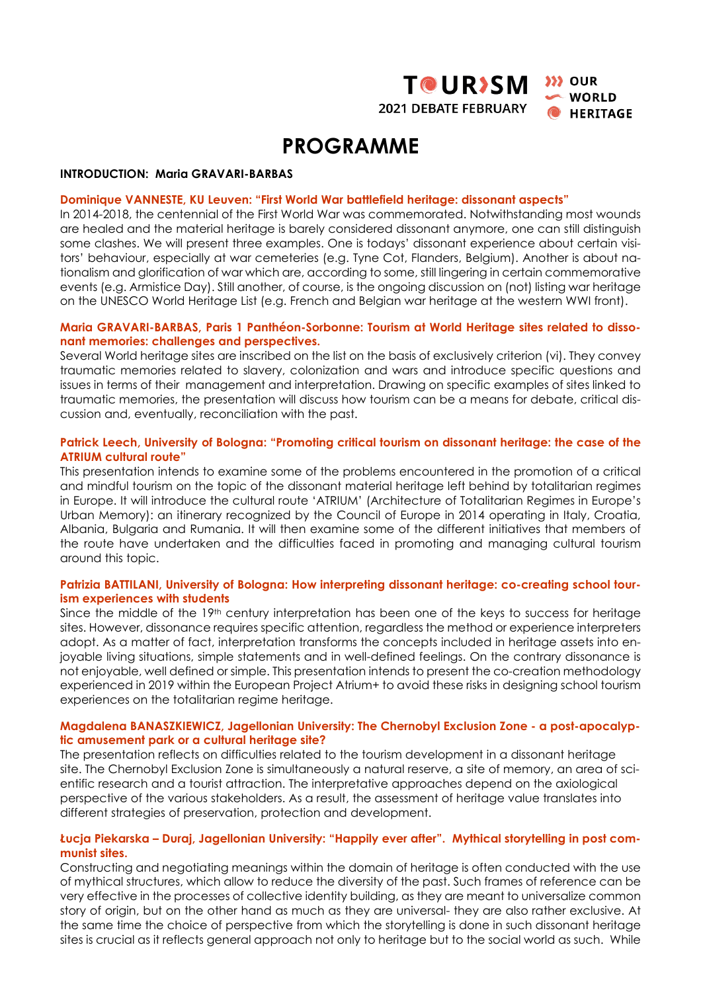



# **PROGRAMME**

#### **INTRODUCTION: Maria GRAVARI-BARBAS**

#### **Dominique VANNESTE, KU Leuven: "First World War battlefield heritage: dissonant aspects"**

In 2014-2018, the centennial of the First World War was commemorated. Notwithstanding most wounds are healed and the material heritage is barely considered dissonant anymore, one can still distinguish some clashes. We will present three examples. One is todays' dissonant experience about certain visitors' behaviour, especially at war cemeteries (e.g. Tyne Cot, Flanders, Belgium). Another is about nationalism and glorification of war which are, according to some, still lingering in certain commemorative events (e.g. Armistice Day). Still another, of course, is the ongoing discussion on (not) listing war heritage on the UNESCO World Heritage List (e.g. French and Belgian war heritage at the western WWI front).

#### **Maria GRAVARI-BARBAS, Paris 1 Panthéon-Sorbonne: Tourism at World Heritage sites related to dissonant memories: challenges and perspectives.**

Several World heritage sites are inscribed on the list on the basis of exclusively criterion (vi). They convey traumatic memories related to slavery, colonization and wars and introduce specific questions and issues in terms of their management and interpretation. Drawing on specific examples of sites linked to traumatic memories, the presentation will discuss how tourism can be a means for debate, critical discussion and, eventually, reconciliation with the past.

#### **Patrick Leech, University of Bologna: "Promoting critical tourism on dissonant heritage: the case of the ATRIUM cultural route"**

This presentation intends to examine some of the problems encountered in the promotion of a critical and mindful tourism on the topic of the dissonant material heritage left behind by totalitarian regimes in Europe. It will introduce the cultural route 'ATRIUM' (Architecture of Totalitarian Regimes in Europe's Urban Memory): an itinerary recognized by the Council of Europe in 2014 operating in Italy, Croatia, Albania, Bulgaria and Rumania. It will then examine some of the different initiatives that members of the route have undertaken and the difficulties faced in promoting and managing cultural tourism around this topic.

#### **Patrizia BATTILANI, University of Bologna: How interpreting dissonant heritage: co-creating school tourism experiences with students**

Since the middle of the 19<sup>th</sup> century interpretation has been one of the keys to success for heritage sites. However, dissonance requires specific attention, regardless the method or experience interpreters adopt. As a matter of fact, interpretation transforms the concepts included in heritage assets into enjoyable living situations, simple statements and in well-defined feelings. On the contrary dissonance is not enjoyable, well defined or simple. This presentation intends to present the co-creation methodology experienced in 2019 within the European Project Atrium+ to avoid these risks in designing school tourism experiences on the totalitarian regime heritage.

#### **Magdalena BANASZKIEWICZ, Jagellonian University: The Chernobyl Exclusion Zone - a post-apocalyptic amusement park or a cultural heritage site?**

The presentation reflects on difficulties related to the tourism development in a dissonant heritage site. The Chernobyl Exclusion Zone is simultaneously a natural reserve, a site of memory, an area of scientific research and a tourist attraction. The interpretative approaches depend on the axiological perspective of the various stakeholders. As a result, the assessment of heritage value translates into different strategies of preservation, protection and development.

#### **Łucja Piekarska – Duraj, Jagellonian University: "Happily ever after". Mythical storytelling in post communist sites.**

Constructing and negotiating meanings within the domain of heritage is often conducted with the use of mythical structures, which allow to reduce the diversity of the past. Such frames of reference can be very effective in the processes of collective identity building, as they are meant to universalize common story of origin, but on the other hand as much as they are universal- they are also rather exclusive. At the same time the choice of perspective from which the storytelling is done in such dissonant heritage sites is crucial as it reflects general approach not only to heritage but to the social world as such. While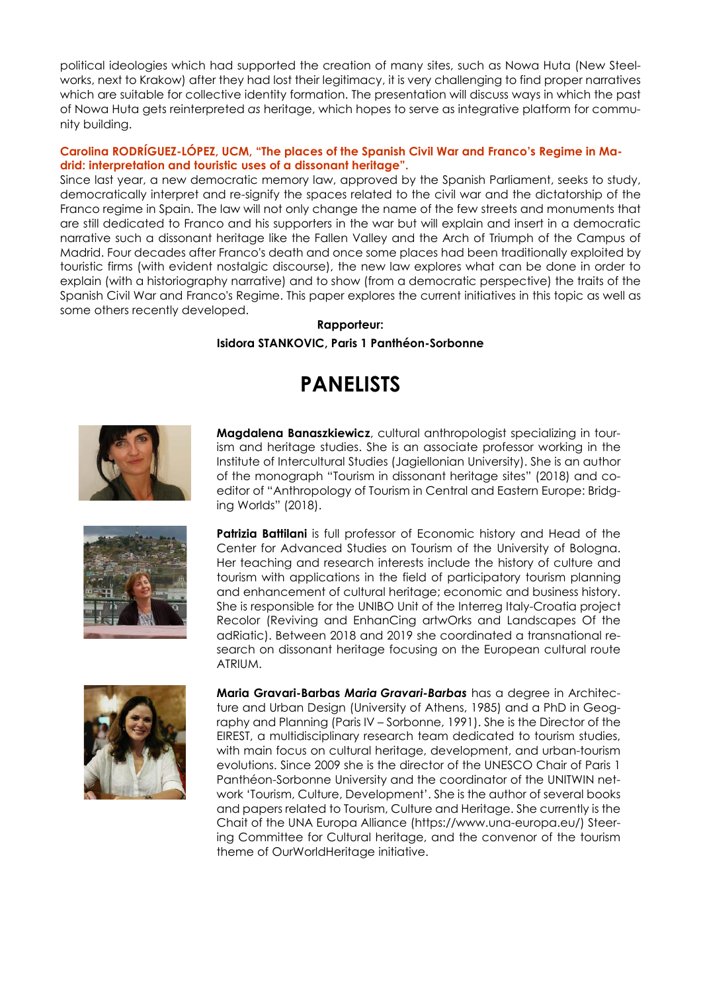political ideologies which had supported the creation of many sites, such as Nowa Huta (New Steelworks, next to Krakow) after they had lost their legitimacy, it is very challenging to find proper narratives which are suitable for collective identity formation. The presentation will discuss ways in which the past of Nowa Huta gets reinterpreted *as* heritage, which hopes to serve as integrative platform for community building.

### **Carolina RODRÍGUEZ-LÓPEZ, UCM, "The places of the Spanish Civil War and Franco's Regime in Madrid: interpretation and touristic uses of a dissonant heritage".**

Since last year, a new democratic memory law, approved by the Spanish Parliament, seeks to study, democratically interpret and re-signify the spaces related to the civil war and the dictatorship of the Franco regime in Spain. The law will not only change the name of the few streets and monuments that are still dedicated to Franco and his supporters in the war but will explain and insert in a democratic narrative such a dissonant heritage like the Fallen Valley and the Arch of Triumph of the Campus of Madrid. Four decades after Franco's death and once some places had been traditionally exploited by touristic firms (with evident nostalgic discourse), the new law explores what can be done in order to explain (with a historiography narrative) and to show (from a democratic perspective) the traits of the Spanish Civil War and Franco's Regime. This paper explores the current initiatives in this topic as well as some others recently developed.

## **Rapporteur: Isidora STANKOVIC, Paris 1 Panthéon-Sorbonne**

# **PANELISTS**



editor of "Anthropology of Tourism in Central and Eastern Europe: Bridging Worlds" (2018). **Patrizia Battilani** is full professor of Economic history and Head of the Center for Advanced Studies on Tourism of the University of Bologna. Her teaching and research interests include the history of culture and tourism with applications in the field of participatory tourism planning and enhancement of cultural heritage; economic and business history.

ATRIUM.

**Maria Gravari-Barbas** *Maria Gravari-Barbas* has a degree in Architecture and Urban Design (University of Athens, 1985) and a PhD in Geography and Planning (Paris IV – Sorbonne, 1991). She is the Director of the EIREST, a multidisciplinary research team dedicated to tourism studies, with main focus on cultural heritage, development, and urban-tourism evolutions. Since 2009 she is the director of the UNESCO Chair of Paris 1 Panthéon-Sorbonne University and the coordinator of the UNITWIN network 'Tourism, Culture, Development'. She is the author of several books and papers related to Tourism, Culture and Heritage. She currently is the Chait of the UNA Europa Alliance (https://www.una-europa.eu/) Steering Committee for Cultural heritage, and the convenor of the tourism theme of OurWorldHeritage initiative.

She is responsible for the UNIBO Unit of the Interreg Italy-Croatia project Recolor (Reviving and EnhanCing artwOrks and Landscapes Of the adRiatic). Between 2018 and 2019 she coordinated a transnational research on dissonant heritage focusing on the European cultural route

**Magdalena Banaszkiewicz**, cultural anthropologist specializing in tourism and heritage studies. She is an associate professor working in the Institute of Intercultural Studies (Jagiellonian University). She is an author of the monograph "Tourism in dissonant heritage sites" (2018) and co-